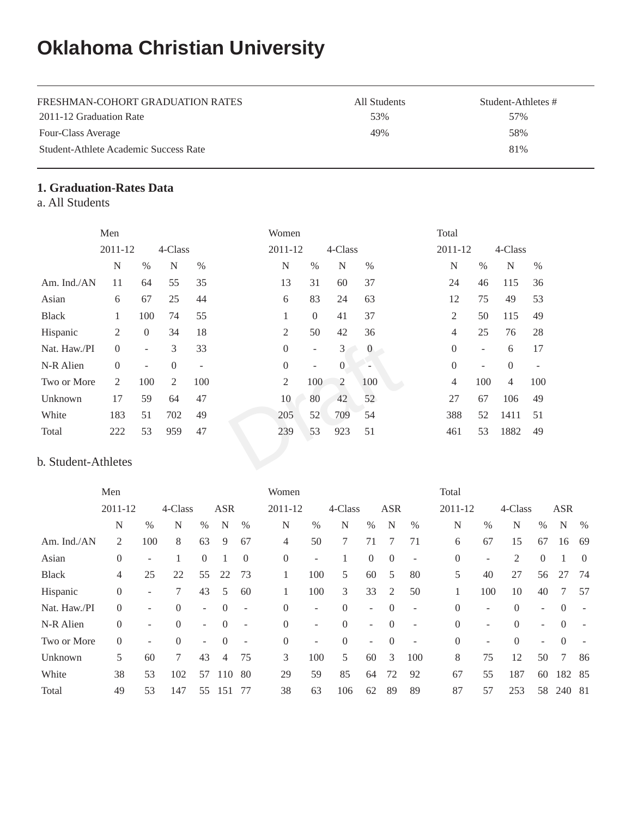# **Oklahoma Christian University**

| FRESHMAN-COHORT GRADUATION RATES      | All Students | Student-Athletes # |
|---------------------------------------|--------------|--------------------|
| 2011-12 Graduation Rate               | 53%          | 57%                |
| Four-Class Average                    | 49%          | 58%                |
| Student-Athlete Academic Success Rate |              | 81%                |

## **1. Graduation-Rates Data**

a. All Students

|                     | Men      |                          |                |      | Women            |                          |              |                | Total          |      |                |      |
|---------------------|----------|--------------------------|----------------|------|------------------|--------------------------|--------------|----------------|----------------|------|----------------|------|
|                     | 2011-12  |                          | 4-Class        |      | 2011-12          |                          | 4-Class      |                | 2011-12        |      | 4-Class        |      |
|                     | N        | $\%$                     | N              | $\%$ | N                | $\%$                     | N            | $\%$           | N              | $\%$ | N              | $\%$ |
| Am. Ind./AN         | 11       | 64                       | 55             | 35   | 13               | 31                       | 60           | 37             | 24             | 46   | 115            | 36   |
| Asian               | 6        | 67                       | 25             | 44   | 6                | 83                       | 24           | 63             | 12             | 75   | 49             | 53   |
| <b>Black</b>        | 1        | 100                      | 74             | 55   | 1                | $\overline{0}$           | 41           | 37             | 2              | 50   | 115            | 49   |
| Hispanic            | 2        | $\overline{0}$           | 34             | 18   | $\overline{c}$   | 50                       | 42           | 36             | $\overline{4}$ | 25   | 76             | 28   |
| Nat. Haw./PI        | $\Omega$ | $\sim$                   | 3              | 33   | $\boldsymbol{0}$ | $\overline{\phantom{a}}$ | 3            | $\overline{0}$ | $\overline{0}$ | ۰    | 6              | 17   |
| N-R Alien           | $\Omega$ | $\overline{\phantom{a}}$ | $\overline{0}$ | -    | $\boldsymbol{0}$ | $\overline{\phantom{a}}$ | $\mathbf{0}$ | ÷              | $\Omega$       | ۰    | $\Omega$       |      |
| Two or More         | 2        | 100                      | 2              | 100  | $\overline{2}$   | 100                      | 2            | 100            | 4              | 100  | $\overline{4}$ | 100  |
| Unknown             | 17       | 59                       | 64             | 47   | 10               | 80                       | 42           | 52             | 27             | 67   | 106            | 49   |
| White               | 183      | 51                       | 702            | 49   | 205              | 52                       | 709          | 54             | 388            | 52   | 1411           | 51   |
| Total               | 222      | 53                       | 959            | 47   | 239              | 53                       | 923          | 51             | 461            | 53   | 1882           | 49   |
| b. Student-Athletes |          |                          |                |      |                  |                          |              |                |                |      |                |      |

### b. Student-Athletes

|              | Men            |                          |          |                |            |                          | Women          |        |          |                          |                |                          | Total          |     |          |                |            |          |
|--------------|----------------|--------------------------|----------|----------------|------------|--------------------------|----------------|--------|----------|--------------------------|----------------|--------------------------|----------------|-----|----------|----------------|------------|----------|
|              | 2011-12        |                          | 4-Class  |                | <b>ASR</b> |                          | 2011-12        |        | 4-Class  |                          | <b>ASR</b>     |                          | 2011-12        |     | 4-Class  |                | <b>ASR</b> |          |
|              | N              | $\%$                     | N        | $\%$           | N          | %                        | N              | $\%$   | N        | $\%$                     | N              | $\%$                     | N              | %   | N        | $\%$           | N          | $\%$     |
| Am. Ind./AN  | 2              | 100                      | 8        | 63             | 9          | 67                       | 4              | 50     | 7        | 71                       |                | 71                       | 6              | 67  | 15       | 67             | 16         | -69      |
| Asian        | $\overline{0}$ | $\sim$                   |          | $\overline{0}$ |            | $\overline{0}$           | $\overline{0}$ | ۰      |          | $\theta$                 | $\overline{0}$ | $\overline{\phantom{a}}$ | $\overline{0}$ | ۰   | 2        | $\overline{0}$ |            | $\theta$ |
| <b>Black</b> | 4              | 25                       | 22       | 55             | 22         | 73                       |                | 100    | 5        | 60                       | 5              | 80                       | 5              | 40  | 27       | 56             | 27         | 74       |
| Hispanic     | $\overline{0}$ | $\sim$                   | 7        | 43             | 5          | 60                       |                | 100    | 3        | 33                       | 2              | 50                       |                | 100 | 10       | 40             | 7          | 57       |
| Nat. Haw./PI | $\mathbf{0}$   |                          | $\Omega$ | ٠              | $\theta$   | $\overline{\phantom{a}}$ | $\Omega$       | -      | $\Omega$ | $\overline{\phantom{0}}$ | $\Omega$       |                          | $\theta$       | -   | $\Omega$ | Ξ.             | $\Omega$   |          |
| N-R Alien    | $\overline{0}$ | Ξ.                       | $\theta$ | ٠              | $\Omega$   | $\overline{\phantom{a}}$ | $\Omega$       | $\sim$ | $\Omega$ | $\overline{\phantom{a}}$ | $\theta$       |                          | $\theta$       | -   | $\Omega$ | -              | $\Omega$   |          |
| Two or More  | $\overline{0}$ | $\overline{\phantom{a}}$ | $\theta$ | $\sim$         | $\Omega$   | $\overline{\phantom{a}}$ | $\overline{0}$ | Ξ.     | $\Omega$ | $\overline{\phantom{a}}$ | $\overline{0}$ | ۰                        | $\overline{0}$ | -   | $\Omega$ | $\sim$         | $\Omega$   |          |
| Unknown      | 5              | 60                       | 7        | 43             | 4          | 75                       | 3              | 100    | 5        | 60                       | 3              | 100                      | 8              | 75  | 12       | 50             | 7          | 86       |
| White        | 38             | 53                       | 102      | 57             | 110        | 80                       | 29             | 59     | 85       | 64                       | 72             | 92                       | 67             | 55  | 187      | 60             | 182 85     |          |
| Total        | 49             | 53                       | 147      | 55             | 151        | 77                       | 38             | 63     | 106      | 62                       | 89             | 89                       | 87             | 57  | 253      | 58             | 240 81     |          |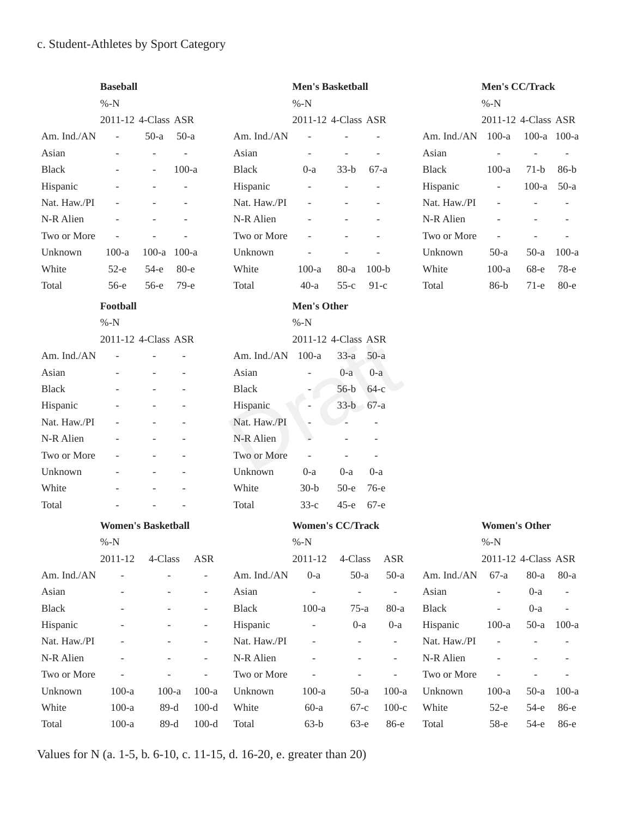# c. Student-Athletes by Sport Category

|              | <b>Baseball</b>           |         |                              |              | <b>Men's Basketball</b>  |                              |                          |              | Men's CC/Track           |                          |          |
|--------------|---------------------------|---------|------------------------------|--------------|--------------------------|------------------------------|--------------------------|--------------|--------------------------|--------------------------|----------|
|              | $% -N$                    |         |                              |              | $% -N$                   |                              |                          |              | $% -N$                   |                          |          |
|              | 2011-12 4-Class ASR       |         |                              |              | 2011-12 4-Class ASR      |                              |                          |              | 2011-12 4-Class ASR      |                          |          |
| Am. Ind./AN  | $\overline{a}$            | $50-a$  | $50-a$                       | Am. Ind./AN  | $\bar{a}$                |                              |                          | Am. Ind./AN  | $100-a$                  | 100-a 100-a              |          |
| Asian        |                           | ÷       | $\overline{\phantom{a}}$     | Asian        | $\overline{\phantom{a}}$ | $\overline{\phantom{a}}$     | $\overline{\phantom{a}}$ | Asian        | $\overline{\phantom{a}}$ |                          |          |
| <b>Black</b> |                           |         | $100-a$                      | <b>Black</b> | $0-a$                    | $33-b$                       | $67-a$                   | <b>Black</b> | $100-a$                  | $71-b$                   | $86-b$   |
| Hispanic     |                           |         |                              | Hispanic     |                          |                              |                          | Hispanic     | ÷,                       | $100-a$                  | $50-a$   |
| Nat. Haw./PI |                           |         | Ē,                           | Nat. Haw./PI | $\overline{\phantom{a}}$ | $\overline{\phantom{a}}$     | $\overline{\phantom{a}}$ | Nat. Haw./PI | $\overline{\phantom{a}}$ | $\overline{\phantom{a}}$ |          |
| N-R Alien    |                           |         |                              | N-R Alien    |                          |                              |                          | N-R Alien    |                          |                          |          |
| Two or More  |                           |         |                              | Two or More  |                          |                              |                          | Two or More  |                          |                          |          |
| Unknown      | $100-a$                   | $100-a$ | $100-a$                      | Unknown      |                          |                              |                          | Unknown      | $50-a$                   | $50-a$                   | $100-a$  |
| White        | $52-e$                    | $54-e$  | $80 - e$                     | White        | $100-a$                  | $80-a$                       | $100-b$                  | White        | $100-a$                  | 68-е                     | $78-e$   |
| Total        | $56-e$                    | $56-e$  | $79-e$                       | Total        | $40-a$                   | $55-c$                       | $91-c$                   | Total        | $86-b$                   | $71-e$                   | $80 - e$ |
|              | Football                  |         |                              |              | <b>Men's Other</b>       |                              |                          |              |                          |                          |          |
|              | $% -N$                    |         |                              |              | $% -N$                   |                              |                          |              |                          |                          |          |
|              | 2011-12 4-Class ASR       |         |                              |              | 2011-12 4-Class ASR      |                              |                          |              |                          |                          |          |
| Am. Ind./AN  |                           |         |                              | Am. Ind./AN  | $100-a$                  | $33-a$                       | $50-a$                   |              |                          |                          |          |
| Asian        |                           |         |                              | Asian        | ÷,                       | $0-a$                        | $0-a$                    |              |                          |                          |          |
| <b>Black</b> |                           |         |                              | <b>Black</b> |                          | $56-b$                       | $64-c$                   |              |                          |                          |          |
| Hispanic     |                           |         |                              | Hispanic     |                          | $33-b$                       | $67-a$                   |              |                          |                          |          |
| Nat. Haw./PI |                           |         |                              | Nat. Haw./PI |                          |                              |                          |              |                          |                          |          |
| N-R Alien    |                           |         |                              | N-R Alien    | $\overline{a}$           |                              |                          |              |                          |                          |          |
| Two or More  |                           |         |                              | Two or More  | $\overline{\phantom{a}}$ |                              |                          |              |                          |                          |          |
| Unknown      |                           |         |                              | Unknown      | $0-a$                    | $0-a$                        | $0-a$                    |              |                          |                          |          |
| White        |                           |         |                              | White        | $30-b$                   | $50-e$                       | $76-e$                   |              |                          |                          |          |
| Total        |                           |         |                              | Total        | $33-c$                   | $45-e$                       | 67-е                     |              |                          |                          |          |
|              | <b>Women's Basketball</b> |         |                              |              | <b>Women's CC/Track</b>  |                              |                          |              | <b>Women's Other</b>     |                          |          |
|              | $% -N$                    |         |                              |              | $% -N$                   |                              |                          |              | $% -N$                   |                          |          |
|              | 2011-12                   | 4-Class | ASR                          |              | 2011-12                  | 4-Class                      | <b>ASR</b>               |              | 2011-12 4-Class ASR      |                          |          |
| Am. Ind./AN  |                           |         | $\overline{\phantom{a}}$     | Am. Ind./AN  | $0-a$                    | $50-a$                       | $50-a$                   | Am. Ind./AN  | $67-a$                   | $80-a$                   | $80-a$   |
| Asian        |                           |         | $\overline{\phantom{a}}$     | Asian        |                          | $\qquad \qquad \blacksquare$ | $\overline{\phantom{a}}$ | Asian        |                          | $0-a$                    |          |
| Black        |                           |         | ÷,                           | <b>Black</b> | $100-a$                  | $75-a$                       | $80-a$                   | <b>Black</b> |                          | $0-a$                    |          |
| Hispanic     |                           |         | $\frac{1}{2}$                | Hispanic     | ÷,                       | $0-a$                        | $0-a$                    | Hispanic     | $100-a$                  | $50-a$                   | $100-a$  |
| Nat. Haw./PI |                           |         | $\qquad \qquad \blacksquare$ | Nat. Haw./PI |                          | $\overline{\phantom{a}}$     | $\overline{\phantom{a}}$ | Nat. Haw./PI |                          |                          |          |
| N-R Alien    |                           |         |                              | N-R Alien    |                          |                              | ÷,                       | N-R Alien    |                          |                          |          |
| Two or More  |                           |         | $\overline{a}$               | Two or More  |                          | ÷,                           | ÷,                       | Two or More  |                          |                          |          |
| Unknown      | $100-a$                   | $100-a$ | $100-a$                      | Unknown      | $100-a$                  | $50-a$                       | $100-a$                  | Unknown      | $100-a$                  | $50-a$                   | $100-a$  |
| White        | $100-a$                   | $89-d$  | $100-d$                      | White        | $60-a$                   | $67-c$                       | $100-c$                  | White        | $52-e$                   | $54-e$                   | 86-е     |
| Total        | $100-a$                   | $89-d$  | $100-d$                      | Total        | $63-b$                   | $63-e$                       | 86-е                     | Total        | 58-е                     | $54-e$                   | 86-е     |

Values for N (a. 1-5, b. 6-10, c. 11-15, d. 16-20, e. greater than 20)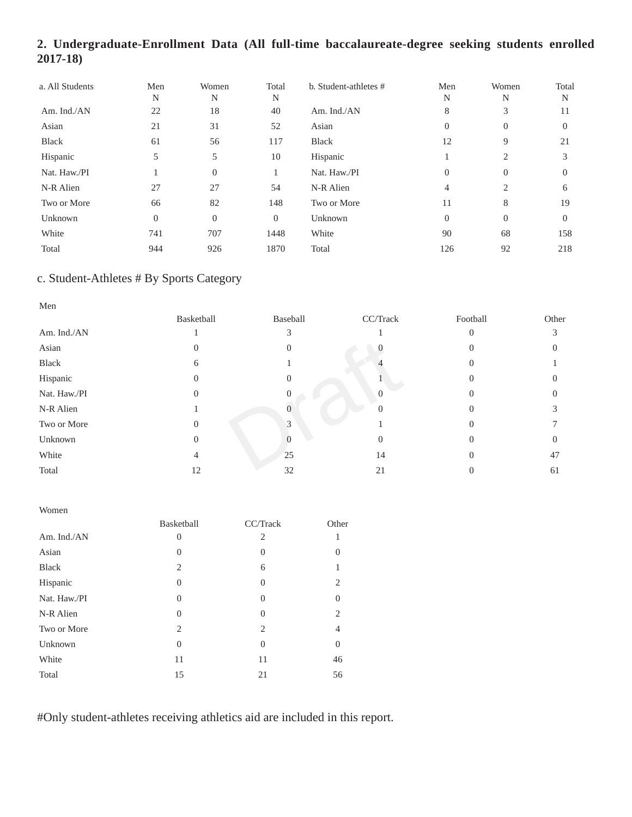# **2. Undergraduate-Enrollment Data (All full-time baccalaureate-degree seeking students enrolled 2017-18)**

| a. All Students | Men<br>N       | Women<br>N       | Total<br>N | b. Student-athletes # | Men<br>N       | Women<br>N | Total<br>N |
|-----------------|----------------|------------------|------------|-----------------------|----------------|------------|------------|
| Am. Ind./AN     | 22             | 18               | 40         | Am. Ind./AN           | 8              | 3          | 11         |
| Asian           | 21             | 31               | 52         | Asian                 | $\theta$       | $\Omega$   | $\Omega$   |
| <b>Black</b>    | 61             | 56               | 117        | <b>Black</b>          | 12             | 9          | 21         |
| Hispanic        | 5              | 5                | 10         | Hispanic              |                | 2          |            |
| Nat. Haw./PI    |                | $\overline{0}$   |            | Nat. Haw./PI          | $\theta$       | $\Omega$   | $\Omega$   |
| N-R Alien       | 27             | 27               | 54         | N-R Alien             | $\overline{4}$ | 2          | 6          |
| Two or More     | 66             | 82               | 148        | Two or More           | 11             | 8          | 19         |
| Unknown         | $\overline{0}$ | $\boldsymbol{0}$ | $\Omega$   | Unknown               | $\overline{0}$ | $\Omega$   | $\Omega$   |
| White           | 741            | 707              | 1448       | White                 | 90             | 68         | 158        |
| Total           | 944            | 926              | 1870       | Total                 | 126            | 92         | 218        |

## c. Student-Athletes # By Sports Category

| Men          |            |          |          |          |       |
|--------------|------------|----------|----------|----------|-------|
|              | Basketball | Baseball | CC/Track | Football | Other |
| Am. Ind./AN  |            |          |          |          | 3     |
| Asian        | $\theta$   |          |          |          |       |
| Black        | 6          |          |          |          |       |
| Hispanic     | $\theta$   |          |          |          |       |
| Nat. Haw./PI | $\Omega$   |          |          |          |       |
| N-R Alien    |            |          |          |          |       |
| Two or More  | $\theta$   | 3        |          |          |       |
| Unknown      | $\Omega$   |          |          |          |       |
| White        | 4          | 25       | 14       |          | 47    |
| Total        | 12         | 32       | 21       |          | 61    |

| Women        |                |                |                |
|--------------|----------------|----------------|----------------|
|              | Basketball     | CC/Track       | Other          |
| Am. Ind./AN  | $\theta$       | 2              |                |
| Asian        | $\Omega$       | $\theta$       | $\Omega$       |
| <b>Black</b> | $\overline{c}$ | 6              |                |
| Hispanic     | $\Omega$       | $\overline{0}$ | 2              |
| Nat. Haw./PI | $\Omega$       | $\theta$       | $\Omega$       |
| N-R Alien    | $\Omega$       | $\theta$       | $\overline{c}$ |
| Two or More  | $\mathfrak{D}$ | $\mathfrak{D}$ | 4              |
| Unknown      | $\Omega$       | $\overline{0}$ | $\overline{0}$ |
| White        | 11             | 11             | 46             |
| Total        | 15             | 21             | 56             |

#Only student-athletes receiving athletics aid are included in this report.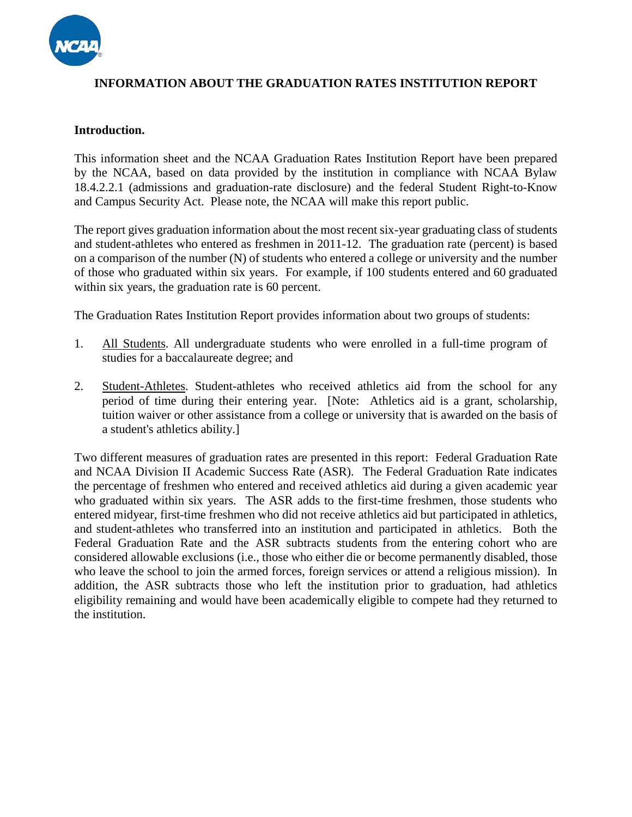

### **INFORMATION ABOUT THE GRADUATION RATES INSTITUTION REPORT**

#### **Introduction.**

This information sheet and the NCAA Graduation Rates Institution Report have been prepared by the NCAA, based on data provided by the institution in compliance with NCAA Bylaw 18.4.2.2.1 (admissions and graduation-rate disclosure) and the federal Student Right-to-Know and Campus Security Act. Please note, the NCAA will make this report public.

The report gives graduation information about the most recent six-year graduating class of students and student-athletes who entered as freshmen in 2011-12. The graduation rate (percent) is based on a comparison of the number (N) of students who entered a college or university and the number of those who graduated within six years. For example, if 100 students entered and 60 graduated within six years, the graduation rate is 60 percent.

The Graduation Rates Institution Report provides information about two groups of students:

- 1. All Students. All undergraduate students who were enrolled in a full-time program of studies for a baccalaureate degree; and
- 2. Student-Athletes. Student-athletes who received athletics aid from the school for any period of time during their entering year. [Note: Athletics aid is a grant, scholarship, tuition waiver or other assistance from a college or university that is awarded on the basis of a student's athletics ability.]

Two different measures of graduation rates are presented in this report: Federal Graduation Rate and NCAA Division II Academic Success Rate (ASR). The Federal Graduation Rate indicates the percentage of freshmen who entered and received athletics aid during a given academic year who graduated within six years. The ASR adds to the first-time freshmen, those students who entered midyear, first-time freshmen who did not receive athletics aid but participated in athletics, and student-athletes who transferred into an institution and participated in athletics. Both the Federal Graduation Rate and the ASR subtracts students from the entering cohort who are considered allowable exclusions (i.e., those who either die or become permanently disabled, those who leave the school to join the armed forces, foreign services or attend a religious mission). In addition, the ASR subtracts those who left the institution prior to graduation, had athletics eligibility remaining and would have been academically eligible to compete had they returned to the institution.